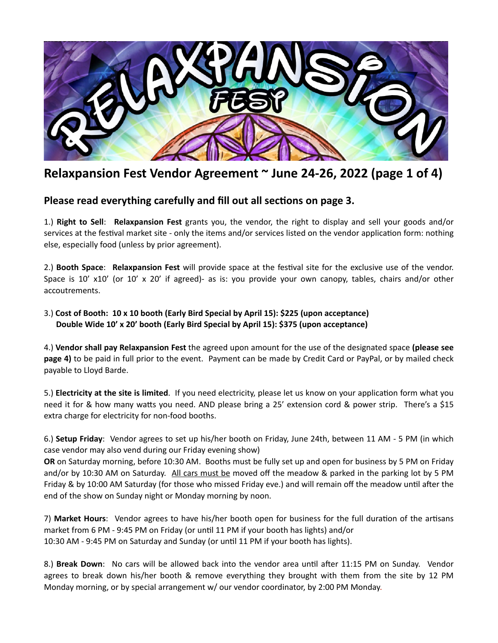

## **Relaxpansion Fest Vendor Agreement ~ June 24-26, 2022 (page 1 of 4)**

## Please read everything carefully and fill out all sections on page 3.

1.) **Right to Sell**: **Relaxpansion Fest** grants you, the vendor, the right to display and sell your goods and/or services at the festival market site - only the items and/or services listed on the vendor application form: nothing else, especially food (unless by prior agreement).

2.) **Booth Space: Relaxpansion Fest** will provide space at the festival site for the exclusive use of the vendor. Space is 10' x10' (or 10' x 20' if agreed)- as is: you provide your own canopy, tables, chairs and/or other accoutrements.

## 3.) **Cost of Booth: 10 x 10 booth (Early Bird Special by April 15): \$225 (upon acceptance) Double Wide 10' x 20' booth (Early Bird Special by April 15): \$375 (upon acceptance)**

4.) **Vendor shall pay Relaxpansion Fest** the agreed upon amount for the use of the designated space **(please see page 4)** to be paid in full prior to the event. Payment can be made by Credit Card or PayPal, or by mailed check payable to Lloyd Barde.

5.) **Electricity at the site is limited**. If you need electricity, please let us know on your application form what you need it for & how many watts you need. AND please bring a 25' extension cord & power strip. There's a \$15 extra charge for electricity for non-food booths.

6.) **Setup Friday**: Vendor agrees to set up his/her booth on Friday, June 24th, between 11 AM - 5 PM (in which case vendor may also vend during our Friday evening show)

**OR** on Saturday morning, before 10:30 AM. Booths must be fully set up and open for business by 5 PM on Friday and/or by 10:30 AM on Saturday. All cars must be moved off the meadow & parked in the parking lot by 5 PM Friday & by 10:00 AM Saturday (for those who missed Friday eve.) and will remain off the meadow until after the end of the show on Sunday night or Monday morning by noon.

7) Market Hours: Vendor agrees to have his/her booth open for business for the full duration of the artisans market from 6 PM - 9:45 PM on Friday (or until 11 PM if your booth has lights) and/or 10:30 AM - 9:45 PM on Saturday and Sunday (or until 11 PM if your booth has lights).

8.) **Break Down**: No cars will be allowed back into the vendor area until after 11:15 PM on Sunday. Vendor agrees to break down his/her booth & remove everything they brought with them from the site by 12 PM Monday morning, or by special arrangement w/ our vendor coordinator, by 2:00 PM Monday.